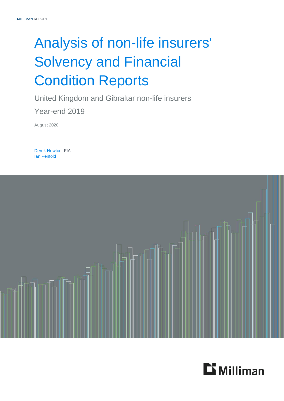# Analysis of non-life insurers' Solvency and Financial Condition Reports

United Kingdom and Gibraltar non-life insurers Year-end 2019

August 2020

Derek Newton, FIA Ian Penfold



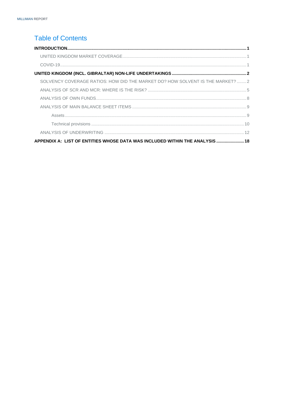## **Table of Contents**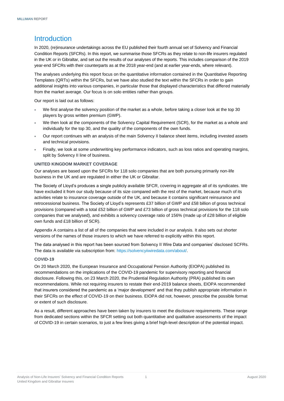### <span id="page-2-0"></span>**Introduction**

In 2020, (re)insurance undertakings across the EU published their fourth annual set of Solvency and Financial Condition Reports (SFCRs). In this report, we summarise those SFCRs as they relate to non-life insurers regulated in the UK or in Gibraltar, and set out the results of our analyses of the reports. This includes comparison of the 2019 year-end SFCRs with their counterparts as at the 2018 year-end (and at earlier year-ends, where relevant).

The analyses underlying this report focus on the quantitative information contained in the Quantitative Reporting Templates (QRTs) within the SFCRs, but we have also studied the text within the SFCRs in order to gain additional insights into various companies, in particular those that displayed characteristics that differed materially from the market average. Our focus is on solo entities rather than groups.

Our report is laid out as follows:

- We first analyse the solvency position of the market as a whole, before taking a closer look at the top 30 players by gross written premium (GWP).
- We then look at the components of the Solvency Capital Requirement (SCR), for the market as a whole and individually for the top 30, and the quality of the components of the own funds.
- Our report continues with an analysis of the main Solvency II balance sheet items, including invested assets and technical provisions.
- Finally, we look at some underwriting key performance indicators, such as loss ratios and operating margins, split by Solvency II line of business.

#### <span id="page-2-1"></span>**UNITED KINGDOM MARKET COVERAGE**

Our analyses are based upon the SFCRs for 118 solo companies that are both pursuing primarily non-life business in the UK and are regulated in either the UK or Gibraltar.

The Society of Lloyd's produces a single publicly available SFCR, covering in aggregate all of its syndicates. We have excluded it from our study because of its size compared with the rest of the market, because much of its activities relate to insurance coverage outside of the UK, and because it contains significant reinsurance and retrocessional business. The Society of Lloyd's represents £37 billion of GWP and £58 billion of gross technical provisions (compared with a total £52 billion of GWP and £73 billion of gross technical provisions for the 118 solo companies that we analysed), and exhibits a solvency coverage ratio of 156% (made up of £28 billion of eligible own funds and £18 billion of SCR).

Appendix A contains a list of all of the companies that were included in our analysis. It also sets out shorter versions of the names of those insurers to which we have referred to explicitly within this report.

The data analysed in this report has been sourced from Solvency II Wire Data and companies' disclosed SCFRs. The data is available via subscription from: [https://solvencyiiwiredata.com/about/.](https://solvencyiiwiredata.com/about/)

#### <span id="page-2-2"></span>**COVID-19**

On 20 March 2020, the European Insurance and Occupational Pension Authority (EIOPA) published its recommendations on the implications of the COVID-19 pandemic for supervisory reporting and financial disclosure. Following this, on 23 March 2020, the Prudential Regulation Authority (PRA) published its own recommendations. While not requiring insurers to restate their end-2019 balance sheets, EIOPA recommended that insurers considered the pandemic as a 'major development' and that they publish appropriate information in their SFCRs on the effect of COVID-19 on their business. EIOPA did not, however, prescribe the possible format or extent of such disclosure.

As a result, different approaches have been taken by insurers to meet the disclosure requirements. These range from dedicated sections within the SFCR setting out both quantitative and qualitative assessments of the impact of COVID-19 in certain scenarios, to just a few lines giving a brief high-level description of the potential impact.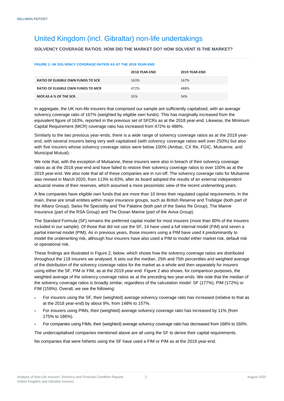## <span id="page-3-0"></span>United Kingdom (incl. Gibraltar) non-life undertakings

#### <span id="page-3-1"></span>**SOLVENCY COVERAGE RATIOS: HOW DID THE MARKET DO? HOW SOLVENT IS THE MARKET?**

| <b>FIGURE 1: UK SOLVENCY COVERAGE RATIOS AS AT THE 2019 YEAR-END</b> |               |               |  |  |
|----------------------------------------------------------------------|---------------|---------------|--|--|
|                                                                      | 2018 YEAR-END | 2019 YEAR-END |  |  |
| <b>RATIO OF ELIGIBLE OWN FUNDS TO SCR</b>                            | 163%          | 167%          |  |  |
| <b>RATIO OF ELIGIBLE OWN FUNDS TO MCR</b>                            | 472%          | 488%          |  |  |
| MCR AS A % OF THE SCR                                                | 35%           | 34%           |  |  |

In aggregate, the UK non-life insurers that comprised our sample are sufficiently capitalised, with an average solvency coverage ratio of 167% (weighted by eligible own funds). This has marginally increased from the equivalent figure of 163%, reported in the previous set of SFCRs as at the 2018 year-end. Likewise, the Minimum Capital Requirement (MCR) coverage ratio has increased from 472% to 488%.

Similarly to the two previous year-ends, there is a wide range of solvency coverage ratios as at the 2019 yearend, with several insurers being very well capitalised (with solvency coverage ratios well over 250%) but also with five insurers whose solvency coverage ratios were below 100% (Ambac, CX Re, FGIC, Mulsanne, and Municipal Mutual).

We note that, with the exception of Mulsanne, these insurers were also in breach of their solvency coverage ratios as at the 2018 year-end and have failed to restore their solvency coverage ratios to over 100% as at the 2019 year-end. We also note that all of these companies are in run-off. The solvency coverage ratio for Mulsanne was revised in March 2020, from 113% to 83%, after its board adopted the results of an external independent actuarial review of their reserves, which assumed a more pessimistic view of the recent underwriting years.

A few companies have eligible own funds that are more than 10 times their regulated capital requirements. In the main, these are small entities within major insurance groups, such as British Reserve and Trafalgar (both part of the Allianz Group), Swiss Re Speciality and The Palatine (both part of the Swiss Re Group), The Marine Insurance (part of the RSA Group) and The Ocean Marine (part of the Aviva Group).

The Standard Formula (SF) remains the preferred capital model for most insurers (more than 80% of the insurers included in our sample). Of those that did not use the SF, 14 have used a full internal model (FIM) and seven a partial internal model (PIM). As in previous years, those insurers using a PIM have used it predominantly to model the underwriting risk, although four insurers have also used a PIM to model either market risk, default risk or operational risk.

These findings are illustrated in Figure 2, below, which shows how the solvency coverage ratios are distributed throughout the 118 insurers we analysed. It sets out the median, 25th and 75th percentiles and weighted average of the distribution of the solvency coverage ratios for the market as a whole and then separately for insurers using either the SF, PIM or FIM, as at the 2019 year-end. Figure 2 also shows, for comparison purposes, the weighted average of the solvency coverage ratios as at the preceding two year-ends. We note that the median of the solvency coverage ratios is broadly similar, regardless of the calculation model: SF (177%), PIM (172%) or FIM (159%). Overall, we see the following:

- For insurers using the SF, their (weighted) average solvency coverage ratio has increased (relative to that as at the 2018 year-end) by about 9%, from 148% to 157%.
- For insurers using PIMs, their (weighted) average solvency coverage ratio has increased by 11% (from 175% to 186%).
- For companies using FIMs, their (weighted) average solvency coverage ratio has decreased from 168% to 160%.

The undercapitalised companies mentioned above are all using the SF to derive their capital requirements.

No companies that were hitherto using the SF have used a FIM or PIM as at the 2019 year-end.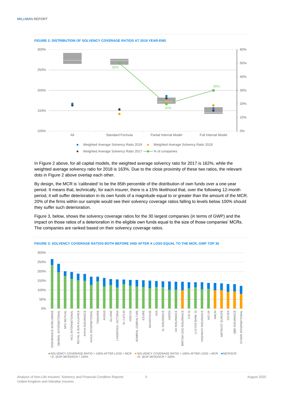

**FIGURE 2: DISTRIBUTION OF SOLVENCY COVERAGE RATIOS AT 2019 YEAR-END**

In Figure 2 above, for all capital models, the weighted average solvency ratio for 2017 is 162%, while the weighted average solvency ratio for 2018 is 163%. Due to the close proximity of these two ratios, the relevant dots in Figure 2 above overlap each other.

By design, the MCR is 'calibrated' to be the 85th percentile of the distribution of own funds over a one-year period. It means that, technically, for each insurer, there is a 15% likelihood that, over the following 12-month period, it will suffer deterioration in its own funds of a magnitude equal to or greater than the amount of the MCR. 20% of the firms within our sample would see their solvency coverage ratios falling to levels below 100% should they suffer such deterioration.

Figure 3, below, shows the solvency coverage ratios for the 30 largest companies (in terms of GWP) and the impact on those ratios of a deterioration in the eligible own funds equal to the size of those companies' MCRs. The companies are ranked based on their solvency coverage ratios.



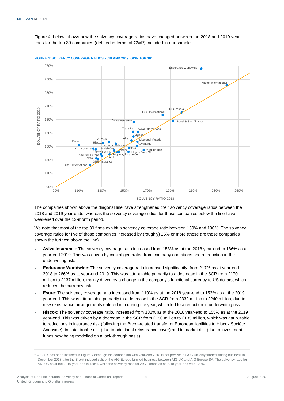Figure 4, below, shows how the solvency coverage ratios have changed between the 2018 and 2019 yearends for the top 30 companies (defined in terms of GWP) included in our sample.



**FIGURE 4: SOLVENCY COVERAGE RATIOS 2018 AND 2019, GWP TOP 30<sup>1</sup>**

The companies shown above the diagonal line have strengthened their solvency coverage ratios between the 2018 and 2019 year-ends, whereas the solvency coverage ratios for those companies below the line have weakened over the 12-month period.

We note that most of the top 30 firms exhibit a solvency coverage ratio between 130% and 190%. The solvency coverage ratios for five of those companies increased by (roughly) 25% or more (these are those companies shown the furthest above the line).

- **Aviva Insurance**: The solvency coverage ratio increased from 158% as at the 2018 year-end to 186% as at year-end 2019. This was driven by capital generated from company operations and a reduction in the underwriting risk.
- **Endurance Worldwide**: The solvency coverage ratio increased significantly, from 217% as at year-end 2018 to 266% as at year-end 2019. This was attributable primarily to a decrease in the SCR from £170 million to £137 million, mainly driven by a change in the company's functional currency to US dollars, which reduced the currency risk.
- **Esure**: The solvency coverage ratio increased from 110% as at the 2018 year-end to 152% as at the 2019 year-end. This was attributable primarily to a decrease in the SCR from £332 million to £240 million, due to new reinsurance arrangements entered into during the year, which led to a reduction in underwriting risk.
- **Hiscox**: The solvency coverage ratio, increased from 131% as at the 2018 year-end to 155% as at the 2019 year-end. This was driven by a decrease in the SCR from £180 million to £135 million, which was attributable to reductions in insurance risk (following the Brexit-related transfer of European liabilities to Hiscox Société Anonyme), in catastrophe risk (due to additional reinsurance cover) and in market risk (due to investment funds now being modelled on a look-through basis).

<sup>&</sup>lt;sup>1</sup> AIG UK has been included in Figure 4 although the comparison with year-end 2018 is not precise, as AIG UK only started writing business in December 2018 after the Brexit-induced split of the AIG Europe Limited business between AIG UK and AIG Europe SA. The solvency ratio for AIG UK as at the 2019 year-end is 138%, while the solvency ratio for AIG Europe as at 2018 year-end was 129%.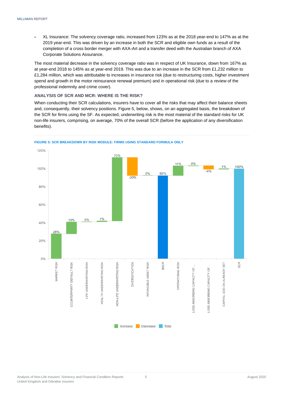XL Insurance: The solvency coverage ratio, increased from 123% as at the 2018 year-end to 147% as at the 2019 year-end. This was driven by an increase in both the SCR and eligible own funds as a result of the completion of a cross border merger with AXA-Art and a transfer deed with the Australian branch of AXA Corporate Solutions Assurance.

The most material decrease in the solvency coverage ratio was in respect of UK Insurance, down from 167% as at year-end 2018 to 145% as at year-end 2019. This was due to an increase in the SCR from £1,232 million to £1,284 million, which was attributable to increases in insurance risk (due to restructuring costs, higher investment spend and growth in the motor reinsurance renewal premium) and in operational risk (due to a review of the professional indemnity and crime cover).

#### <span id="page-6-0"></span>**ANALYSIS OF SCR AND MCR: WHERE IS THE RISK?**

When conducting their SCR calculations, insurers have to cover all the risks that may affect their balance sheets and, consequently, their solvency positions. Figure 5, below, shows, on an aggregated basis, the breakdown of the SCR for firms using the SF. As expected, underwriting risk is the most material of the standard risks for UK non-life insurers, comprising, on average, 70% of the overall SCR (before the application of any diversification benefits).



**FIGURE 5: SCR BREAKDOWN BY RISK MODULE: FIRMS USING STANDARD FORMULA ONLY**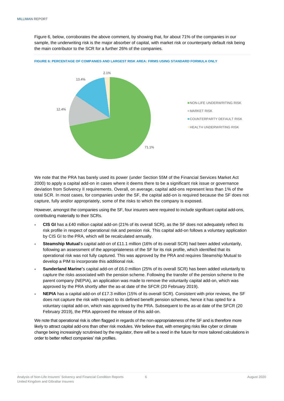Figure 6, below, corroborates the above comment, by showing that, for about 71% of the companies in our sample, the underwriting risk is the major absorber of capital, with market risk or counterparty default risk being the main contributor to the SCR for a further 26% of the companies.



**FIGURE 6: PERCENTAGE OF COMPANIES AND LARGEST RISK AREA: FIRMS USING STANDARD FORMULA ONLY**

We note that the PRA has barely used its power (under Section 55M of the Financial Services Market Act 2000) to apply a capital add-on in cases where it deems there to be a significant risk issue or governance deviation from Solvency II requirements. Overall, on average, capital add-ons represent less than 1% of the total SCR. In most cases, for companies under the SF, the capital add-on is required because the SF does not capture, fully and/or appropriately, some of the risks to which the company is exposed.

However, amongst the companies using the SF, four insurers were required to include significant capital add-ons, contributing materially to their SCRs.

- **CIS GI** has a £40 million capital add-on (21% of its overall SCR), as the SF does not adequately reflect its risk profile in respect of operational risk and pension risk. This capital add-on follows a voluntary application by CIS GI to the PRA, which will be recalculated annually.
- **Steamship Mutual**'s capital add-on of £11.1 million (16% of its overall SCR) had been added voluntarily, following an assessment of the appropriateness of the SF for its risk profile, which identified that its operational risk was not fully captured. This was approved by the PRA and requires Steamship Mutual to develop a PIM to incorporate this additional risk.
- **Sunderland Marine'**s capital add-on of £6.0 million (25% of its overall SCR) has been added voluntarily to capture the risks associated with the pension scheme. Following the transfer of the pension scheme to the parent company (NEPIA), an application was made to remove the voluntarily capital add-on, which was approved by the PRA shortly after the as-at date of the SFCR (20 February 2019).
- **NEPIA** has a capital add-on of £17.3 million (15% of its overall SCR). Consistent with prior reviews, the SF does not capture the risk with respect to its defined benefit pension schemes, hence it has opted for a voluntary capital add-on, which was approved by the PRA. Subsequent to the as-at date of the SFCR (20 February 2019), the PRA approved the release of this add-on.

We note that operational risk is often flagged in regards of the non-appropriateness of the SF and is therefore more likely to attract capital add-ons than other risk modules. We believe that, with emerging risks like cyber or climate change being increasingly scrutinised by the regulator, there will be a need in the future for more tailored calculations in order to better reflect companies' risk profiles.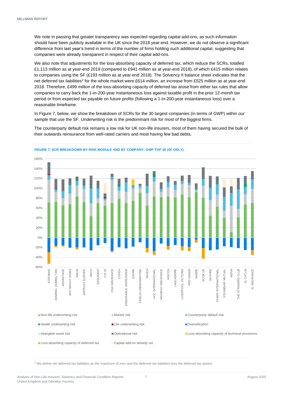We note in passing that greater transparency was expected regarding capital add-ons, as such information should have been publicly available in the UK since the 2018 year-end. However, we do not observe a significant difference from last year's trend in terms of the number of firms holding such additional capital, suggesting that companies were already transparent in respect of their capital add-ons.

We also note that adjustments for the loss-absorbing capacity of deferred tax, which reduce the SCRs, totalled £1,113 million as at year-end 2019 (compared to £941 million as at year-end 2018), of which £415 million relates to companies using the SF (£193 million as at year-end 2018). The Solvency II balance sheet indicates that the net deferred tax liabilities<sup>2</sup> for the whole market were £614 million, an increase from £525 million as at year-end 2018. Therefore, £499 million of the loss-absorbing capacity of deferred tax arose from either tax rules that allow companies to carry back the 1-in-200-year instantaneous loss against taxable profit in the prior 12-month tax period or from expected tax payable on future profits (following a 1-in-200-year instantaneous loss) over a reasonable timeframe.

In Figure 7, below, we show the breakdown of SCRs for the 30 largest companies (in terms of GWP) within our sample that use the SF. Underwriting risk is the predominant risk for most of the biggest firms.

The counterparty default risk remains a low risk for UK non-life insurers, most of them having secured the bulk of their outwards reinsurance from well-rated carriers and most having few bad debts.



**FIGURE 7: SCR BREAKDOWN BY RISK MODULE AND BY COMPANY, GWP TOP 30 (SF ONLY)**

 $2$  We define net deferred tax liabilities as the maximum of zero and the deferred tax liabilities less the deferred tax assets.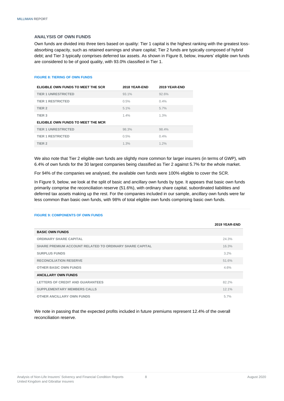#### <span id="page-9-0"></span>**ANALYSIS OF OWN FUNDS**

Own funds are divided into three tiers based on quality: Tier 1 capital is the highest ranking with the greatest lossabsorbing capacity, such as retained earnings and share capital; Tier 2 funds are typically composed of hybrid debt; and Tier 3 typically comprises deferred tax assets. As shown in Figure 8, below, insurers' eligible own funds are considered to be of good quality, with 93.0% classified in Tier 1.

#### **FIGURE 8: TIERING OF OWN FUNDS**

| ELIGIBLE OWN FUNDS TO MEET THE SCR | 2018 YEAR-END | 2019 YEAR-END |
|------------------------------------|---------------|---------------|
| <b>TIER 1 UNRESTRICTED</b>         | 93.1%         | 92.6%         |
| <b>TIER 1 RESTRICTED</b>           | 0.5%          | $0.4\%$       |
| TIER <sub>2</sub>                  | 5.1%          | 5.7%          |
| TIER <sub>3</sub>                  | 1.4%          | 1.3%          |
| ELIGIBLE OWN FUNDS TO MEET THE MCR |               |               |
| <b>TIER 1 UNRESTRICTED</b>         | 98.3%         | 98.4%         |
| <b>TIER 1 RESTRICTED</b>           | 0.5%          | $0.4\%$       |
| TIER <sub>2</sub>                  | 1.3%          | 1.2%          |

We also note that Tier 2 eligible own funds are slightly more common for larger insurers (in terms of GWP), with 6.4% of own funds for the 30 largest companies being classified as Tier 2 against 5.7% for the whole market.

For 94% of the companies we analysed, the available own funds were 100% eligible to cover the SCR.

In Figure 9, below, we look at the split of basic and ancillary own funds by type. It appears that basic own funds primarily comprise the reconciliation reserve (51.6%), with ordinary share capital, subordinated liabilities and deferred tax assets making up the rest. For the companies included in our sample, ancillary own funds were far less common than basic own funds, with 98% of total eligible own funds comprising basic own funds.

#### **FIGURE 9: COMPONENTS OF OWN FUNDS**

|                                                         | 2019 YEAR-END |
|---------------------------------------------------------|---------------|
| <b>BASIC OWN FUNDS</b>                                  |               |
| <b>ORDINARY SHARE CAPITAL</b>                           | 24.3%         |
| SHARE PREMIUM ACCOUNT RELATED TO ORDINARY SHARE CAPITAL | 16.3%         |
| <b>SURPLUS FUNDS</b>                                    | $3.2\%$       |
| <b>RECONCILIATION RESERVE</b>                           | 51.6%         |
| <b>OTHER BASIC OWN FUNDS</b>                            | 4.6%          |
| <b>ANCILLARY OWN FUNDS</b>                              |               |
| LETTERS OF CREDIT AND GUARANTEES                        | 82.2%         |
| <b>SUPPLEMENTARY MEMBERS CALLS</b>                      | 12.1%         |
| <b>OTHER ANCILLARY OWN FUNDS</b>                        | $5.7\%$       |

We note in passing that the expected profits included in future premiums represent 12.4% of the overall reconciliation reserve.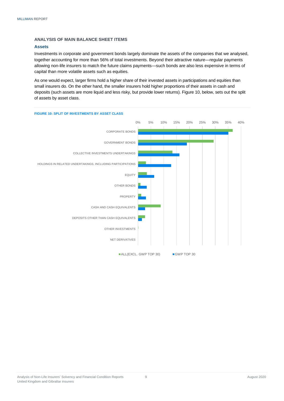#### <span id="page-10-0"></span>**ANALYSIS OF MAIN BALANCE SHEET ITEMS**

#### <span id="page-10-1"></span>**Assets**

Investments in corporate and government bonds largely dominate the assets of the companies that we analysed, together accounting for more than 56% of total investments. Beyond their attractive nature—regular payments allowing non-life insurers to match the future claims payments—such bonds are also less expensive in terms of capital than more volatile assets such as equities.

As one would expect, larger firms hold a higher share of their invested assets in participations and equities than small insurers do. On the other hand, the smaller insurers hold higher proportions of their assets in cash and deposits (such assets are more liquid and less risky, but provide lower returns). Figure 10, below, sets out the split of assets by asset class.

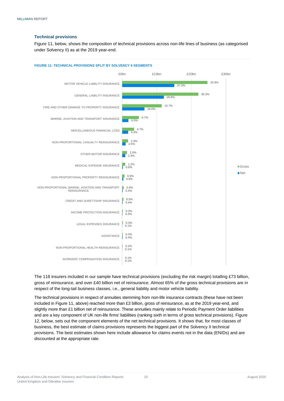#### <span id="page-11-0"></span>**Technical provisions**

Figure 11, below, shows the composition of technical provisions across non-life lines of business (as categorised under Solvency II) as at the 2019 year-end.



**FIGURE 11: TECHNICAL PROVISIONS SPLIT BY SOLVENCY II SEGMENTS**

The 118 insurers included in our sample have technical provisions (excluding the risk margin) totalling £73 billion, gross of reinsurance, and over £40 billion net of reinsurance. Almost 65% of the gross technical provisions are in respect of the long-tail business classes, i.e., general liability and motor vehicle liability.

The technical provisions in respect of annuities stemming from non-life insurance contracts (these have not been included in Figure 11, above) reached more than £3 billion, gross of reinsurance, as at the 2019 year-end, and slightly more than £1 billion net of reinsurance. These annuities mainly relate to Periodic Payment Order liabilities and are a key component of UK non-life firms' liabilities (ranking sixth in terms of gross technical provisions). Figure 12, below, sets out the component elements of the net technical provisions. It shows that, for most classes of business, the best estimate of claims provisions represents the biggest part of the Solvency II technical provisions. The best estimates shown here include allowance for claims events not in the data (ENIDs) and are discounted at the appropriate rate.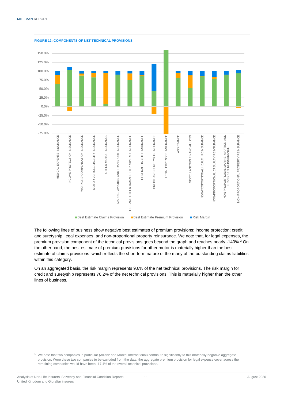

**FIGURE 12: COMPONENTS OF NET TECHNICAL PROVISIONS**

The following lines of business show negative best estimates of premium provisions: income protection; credit and suretyship; legal expenses; and non-proportional property reinsurance. We note that, for legal expenses, the premium provision component of the technical provisions goes beyond the graph and reaches nearly -140%. <sup>3</sup> On the other hand, the best estimate of premium provisions for other motor is materially higher than the best estimate of claims provisions, which reflects the short-term nature of the many of the outstanding claims liabilities within this category.

On an aggregated basis, the risk margin represents 9.6% of the net technical provisions. The risk margin for credit and suretyship represents 76.2% of the net technical provisions. This is materially higher than the other lines of business.

<sup>3</sup> We note that two companies in particular (Allianz and Markel International) contribute significantly to this materially negative aggregate provision. Were these two companies to be excluded from the data, the aggregate premium provision for legal expense cover across the remaining companies would have been -17.4% of the overall technical provisions.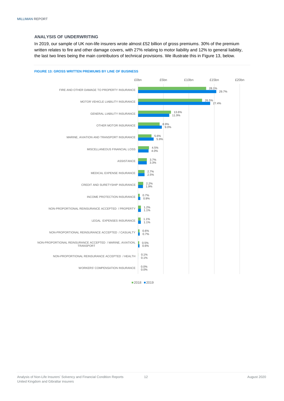#### <span id="page-13-0"></span>**ANALYSIS OF UNDERWRITING**

In 2019, our sample of UK non-life insurers wrote almost £52 billion of gross premiums. 30% of the premium written relates to fire and other damage covers, with 27% relating to motor liability and 12% to general liability, the last two lines being the main contributors of technical provisions. We illustrate this in Figure 13, below.



 $2018$  2019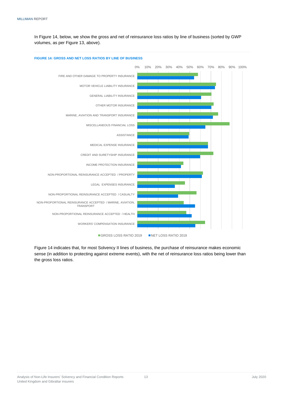In Figure 14, below, we show the gross and net of reinsurance loss ratios by line of business (sorted by GWP volumes, as per Figure 13, above).



**FIGURE 14: GROSS AND NET LOSS RATIOS BY LINE OF BUSINESS**

Figure 14 indicates that, for most Solvency II lines of business, the purchase of reinsurance makes economic sense (in addition to protecting against extreme events), with the net of reinsurance loss ratios being lower than the gross loss ratios.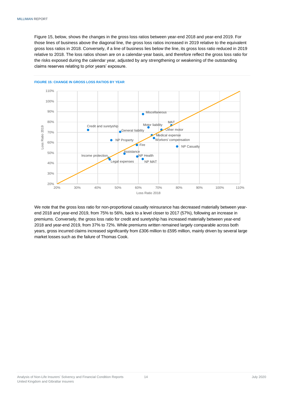Figure 15, below, shows the changes in the gross loss ratios between year-end 2018 and year-end 2019. For those lines of business above the diagonal line, the gross loss ratios increased in 2019 relative to the equivalent gross loss ratios in 2018. Conversely, if a line of business lies below the line, its gross loss ratio reduced in 2019 relative to 2018. The loss ratios shown are on a calendar-year basis, and therefore reflect the gross loss ratio for the risks exposed during the calendar year, adjusted by any strengthening or weakening of the outstanding claims reserves relating to prior years' exposure.



#### **FIGURE 15: CHANGE IN GROSS LOSS RATIOS BY YEAR**

We note that the gross loss ratio for non-proportional casualty reinsurance has decreased materially between yearend 2018 and year-end 2019, from 75% to 56%, back to a level closer to 2017 (57%), following an increase in premiums. Conversely, the gross loss ratio for credit and suretyship has increased materially between year-end 2018 and year-end 2019, from 37% to 72%. While premiums written remained largely comparable across both years, gross incurred claims increased significantly from £306 million to £595 million, mainly driven by several large market losses such as the failure of Thomas Cook.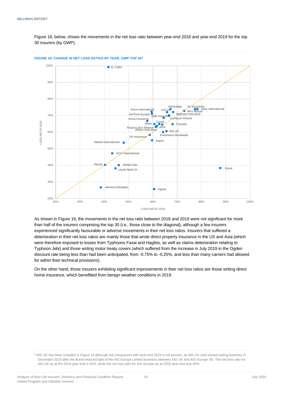Figure 16, below, shows the movements in the net loss ratio between year-end 2018 and year-end 2019 for the top 30 insurers (by GWP).



**FIGURE 16: CHANGE IN NET LOSS RATIOS BY YEAR, GWP TOP 30<sup>4</sup>**

As shown in Figure 16, the movements in the net loss ratio between 2018 and 2019 were not significant for more than half of the insurers comprising the top 30 (i.e., those close to the diagonal), although a few insurers experienced significantly favourable or adverse movements in their net loss ratios. Insurers that suffered a deterioration in their net loss ratios are mainly those that wrote direct property insurance in the US and Asia (which were therefore exposed to losses from Typhoons Faxai and Hagibis, as well as claims deterioration relating to Typhoon Jebi) and those writing motor treaty covers (which suffered from the increase in July 2019 in the Ogden discount rate being less than had been anticipated, from -0.75% to -0.25%, and less than many carriers had allowed for within their technical provisions).

On the other hand, those insurers exhibiting significant improvements in their net loss ratios are those writing direct home insurance, which benefitted from benign weather conditions in 2019.

<sup>4</sup> AIG UK has been included in Figure 16 although the comparison with year-end 2018 is not precise, as AIG UK only started writing business in December 2018 after the Brexit-induced split of the AIG Europe Limited business between AIG UK and AIG Europe SA. The net loss ratio for AIG UK as at the 2019 year-end is 61%, while the net loss ratio for AIG Europe as at 2018 year-end was 66%.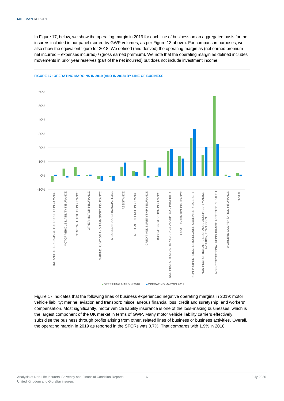In Figure 17, below, we show the operating margin in 2019 for each line of business on an aggregated basis for the insurers included in our panel (sorted by GWP volumes, as per Figure 13 above). For comparison purposes, we also show the equivalent figure for 2018. We defined (and derived) the operating margin as (net earned premium – net incurred – expenses incurred) / (gross earned premium). We note that the operating margin as defined includes movements in prior year reserves (part of the net incurred) but does not include investment income.



#### **FIGURE 17: OPERATING MARGINS IN 2019 (AND IN 2018) BY LINE OF BUSINESS**

Figure 17 indicates that the following lines of business experienced negative operating margins in 2019: motor vehicle liability; marine, aviation and transport; miscellaneous financial loss; credit and suretyship; and workers' compensation. Most significantly, motor vehicle liability insurance is one of the loss-making businesses, which is the largest component of the UK market in terms of GWP. Many motor vehicle liability carriers effectively subsidise the business through profits arising from other, related lines of business or business activities. Overall, the operating margin in 2019 as reported in the SFCRs was 0.7%. That compares with 1.9% in 2018.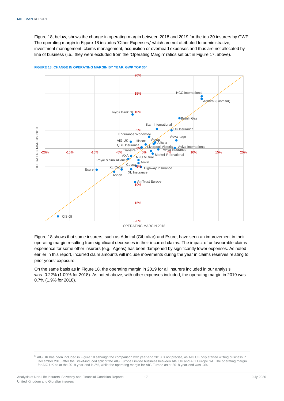Figure 18, below, shows the change in operating margin between 2018 and 2019 for the top 30 insurers by GWP. The operating margin in Figure 18 includes 'Other Expenses,' which are not attributed to administrative, investment management, claims management, acquisition or overhead expenses and thus are not allocated by line of business (i.e., they were excluded from the 'Operating Margin' ratios set out in Figure 17, above).



**FIGURE 18: CHANGE IN OPERATING MARGIN BY YEAR, GWP TOP 30<sup>5</sup>**

OPERATING MARGIN 2018

Figure 18 shows that some insurers, such as Admiral (Gibraltar) and Esure, have seen an improvement in their operating margin resulting from significant decreases in their incurred claims. The impact of unfavourable claims experience for some other insurers (e.g., Ageas) has been dampened by significantly lower expenses. As noted earlier in this report, incurred claim amounts will include movements during the year in claims reserves relating to prior years' exposure.

On the same basis as in Figure 18, the operating margin in 2019 for all insurers included in our analysis was -0.22% (1.09% for 2018). As noted above, with other expenses included, the operating margin in 2019 was 0.7% (1.9% for 2018).

<sup>5</sup> AIG UK has been included in Figure 18 although the comparison with year-end 2018 is not precise, as AIG UK only started writing business in December 2018 after the Brexit-induced split of the AIG Europe Limited business between AIG UK and AIG Europe SA. The operating margin for AIG UK as at the 2019 year-end is 2%, while the operating margin for AIG Europe as at 2018 year-end was -3%.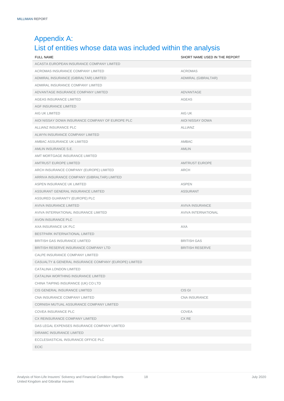## <span id="page-19-0"></span>Appendix A: List of entities whose data was included within the analysis

| <b>FULL NAME</b>                                      | SHORT NAME USED IN THE REPORT |
|-------------------------------------------------------|-------------------------------|
| ACASTA EUROPEAN INSURANCE COMPANY LIMITED             |                               |
| ACROMAS INSURANCE COMPANY LIMITED                     | <b>ACROMAS</b>                |
| ADMIRAL INSURANCE (GIBRALTAR) LIMITED                 | ADMIRAL (GIBRALTAR)           |
| ADMIRAL INSURANCE COMPANY LIMITED                     |                               |
| ADVANTAGE INSURANCE COMPANY LIMITED                   | <b>ADVANTAGE</b>              |
| AGEAS INSURANCE LIMITED                               | <b>AGEAS</b>                  |
| <b>AGF INSURANCE LIMITED</b>                          |                               |
| AIG UK LIMITED                                        | AIG UK                        |
| AIOI NISSAY DOWA INSURANCE COMPANY OF EUROPE PLC      | AIOI NISSAY DOWA              |
| ALLIANZ INSURANCE PLC                                 | <b>ALLIANZ</b>                |
| ALWYN INSURANCE COMPANY LIMITED                       |                               |
| AMBAC ASSURANCE UK LIMITED                            | AMBAC                         |
| AMLIN INSURANCE S.E.                                  | <b>AMLIN</b>                  |
| AMT MORTGAGE INSURANCE LIMITED                        |                               |
| <b>AMTRUST EUROPE LIMITED</b>                         | <b>AMTRUST EUROPE</b>         |
| ARCH INSURANCE COMPANY (EUROPE) LIMITED               | ARCH                          |
| ARRIVA INSURANCE COMPANY (GIBRALTAR) LIMITED          |                               |
| ASPEN INSURANCE UK LIMITED                            | <b>ASPEN</b>                  |
| ASSURANT GENERAL INSURANCE LIMITED                    | ASSURANT                      |
| ASSURED GUARANTY (EUROPE) PLC                         |                               |
| <b>AVIVA INSURANCE LIMITED</b>                        | <b>AVIVA INSURANCE</b>        |
| AVIVA INTERNATIONAL INSURANCE LIMITED                 | AVIVA INTERNATIONAL           |
| <b>AVON INSURANCE PLC</b>                             |                               |
| AXA INSURANCE UK PLC                                  | <b>AXA</b>                    |
| BESTPARK INTERNATIONAL LIMITED                        |                               |
| <b>BRITISH GAS INSURANCE LIMITED</b>                  | <b>BRITISH GAS</b>            |
| BRITISH RESERVE INSURANCE COMPANY LTD                 | <b>BRITISH RESERVE</b>        |
| CALPE INSURANCE COMPANY LIMITED                       |                               |
| CASUALTY & GENERAL INSURANCE COMPANY (EUROPE) LIMITED |                               |
| CATALINA LONDON LIMITED                               |                               |
| CATALINA WORTHING INSURANCE LIMITED                   |                               |
| CHINA TAIPING INSURANCE (UK) CO LTD                   |                               |
| CIS GENERAL INSURANCE LIMITED                         | CIS GI                        |
| CNA INSURANCE COMPANY LIMITED                         | <b>CNA INSURANCE</b>          |
| CORNISH MUTUAL ASSURANCE COMPANY LIMITED              |                               |
| COVEA INSURANCE PLC                                   | COVEA                         |
| CX REINSURANCE COMPANY LIMITED                        | CX RE                         |
| DAS LEGAL EXPENSES INSURANCE COMPANY LIMITED          |                               |
| DIRAMIC INSURANCE LIMITED                             |                               |
| ECCLESIASTICAL INSURANCE OFFICE PLC                   |                               |
| <b>ECIC</b>                                           |                               |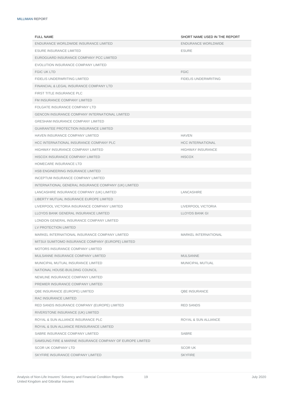| <b>FULL NAME</b>                                          | SHORT NAME USED IN THE REPORT |
|-----------------------------------------------------------|-------------------------------|
| ENDURANCE WORLDWIDE INSURANCE LIMITED                     | ENDURANCE WORLDWIDE           |
| <b>ESURE INSURANCE LIMITED</b>                            | <b>ESURE</b>                  |
| EUROGUARD INSURANCE COMPANY PCC LIMITED                   |                               |
| EVOLUTION INSURANCE COMPANY LIMITED                       |                               |
| <b>FGIC UK LTD</b>                                        | <b>FGIC</b>                   |
| FIDELIS UNDERWRITING LIMITED                              | <b>FIDELIS UNDERWRITING</b>   |
| FINANCIAL & LEGAL INSURANCE COMPANY LTD                   |                               |
| FIRST TITLE INSURANCE PLC                                 |                               |
| FM INSURANCE COMPANY LIMITED                              |                               |
| FOLGATE INSURANCE COMPANY LTD                             |                               |
| <b>GENCON INSURANCE COMPANY INTERNATIONAL LIMITED</b>     |                               |
| <b>GRESHAM INSURANCE COMPANY LIMITED</b>                  |                               |
| <b>GUARANTEE PROTECTION INSURANCE LIMITED</b>             |                               |
| HAVEN INSURANCE COMPANY LIMITED                           | <b>HAVEN</b>                  |
| HCC INTERNATIONAL INSURANCE COMPANY PLC                   | <b>HCC INTERNATIONAL</b>      |
| <b>HIGHWAY INSURANCE COMPANY LIMITED</b>                  | <b>HIGHWAY INSURANCE</b>      |
| HISCOX INSURANCE COMPANY LIMITED                          | <b>HISCOX</b>                 |
| HOMECARE INSURANCE LTD                                    |                               |
| HSB ENGINEERING INSURANCE LIMITED                         |                               |
| INCEPTUM INSURANCE COMPANY LIMITED                        |                               |
| INTERNATIONAL GENERAL INSURANCE COMPANY (UK) LIMITED      |                               |
| LANCASHIRE INSURANCE COMPANY (UK) LIMITED                 | LANCASHIRE                    |
| LIBERTY MUTUAL INSURANCE EUROPE LIMITED                   |                               |
| LIVERPOOL VICTORIA INSURANCE COMPANY LIMITED              | LIVERPOOL VICTORIA            |
| LLOYDS BANK GENERAL INSURANCE LIMITED                     | <b>LLOYDS BANK GI</b>         |
| LONDON GENERAL INSURANCE COMPANY LIMITED                  |                               |
| LV PROTECTION LIMITED                                     |                               |
| MARKEL INTERNATIONAL INSURANCE COMPANY LIMITED            | MARKEL INTERNATIONAL          |
| MITSUI SUMITOMO INSURANCE COMPANY (EUROPE) LIMITED        |                               |
| MOTORS INSURANCE COMPANY LIMITED                          |                               |
| MULSANNE INSURANCE COMPANY LIMITED                        | <b>MULSANNE</b>               |
| MUNICIPAL MUTUAL INSURANCE LIMITED                        | MUNICIPAL MUTUAL              |
| NATIONAL HOUSE-BUILDING COUNCIL                           |                               |
| NEWLINE INSURANCE COMPANY LIMITED                         |                               |
| PREMIER INSURANCE COMPANY LIMITED                         |                               |
| QBE INSURANCE (EUROPE) LIMITED                            | <b>QBE INSURANCE</b>          |
| RAC INSURANCE LIMITED                                     |                               |
| RED SANDS INSURANCE COMPANY (EUROPE) LIMITED              | <b>RED SANDS</b>              |
| RIVERSTONE INSURANCE (UK) LIMITED                         |                               |
| ROYAL & SUN ALLIANCE INSURANCE PLC                        | ROYAL & SUN ALLIANCE          |
| ROYAL & SUN ALLIANCE REINSURANCE LIMITED                  |                               |
| SABRE INSURANCE COMPANY LIMITED                           | SABRE                         |
| SAMSUNG FIRE & MARINE INSURANCE COMPANY OF EUROPE LIMITED |                               |
| <b>SCOR UK COMPANY LTD</b>                                | <b>SCORUK</b>                 |
| SKYFIRE INSURANCE COMPANY LIMITED                         | <b>SKYFIRE</b>                |